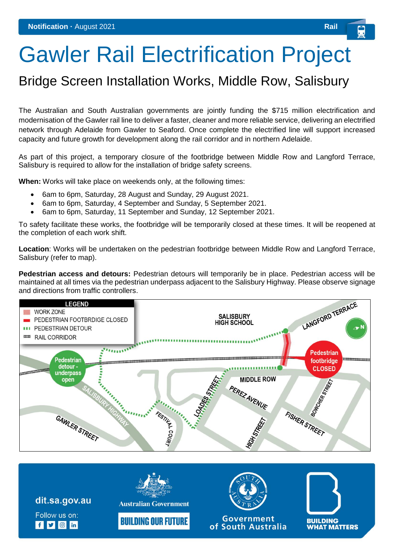## Gawler Rail Electrification Project

## Bridge Screen Installation Works, Middle Row, Salisbury

The Australian and South Australian governments are jointly funding the \$715 million electrification and modernisation of the Gawler rail line to deliver a faster, cleaner and more reliable service, delivering an electrified network through Adelaide from Gawler to Seaford. Once complete the electrified line will support increased capacity and future growth for development along the rail corridor and in northern Adelaide.

As part of this project, a temporary closure of the footbridge between Middle Row and Langford Terrace, Salisbury is required to allow for the installation of bridge safety screens.

**When:** Works will take place on weekends only, at the following times:

- 6am to 6pm, Saturday, 28 August and Sunday, 29 August 2021.
- 6am to 6pm, Saturday, 4 September and Sunday, 5 September 2021.
- 6am to 6pm, Saturday, 11 September and Sunday, 12 September 2021.

To safety facilitate these works, the footbridge will be temporarily closed at these times. It will be reopened at the completion of each work shift.

**Location**: Works will be undertaken on the pedestrian footbridge between Middle Row and Langford Terrace, Salisbury (refer to map).

**Pedestrian access and detours:** Pedestrian detours will temporarily be in place. Pedestrian access will be maintained at all times via the pedestrian underpass adjacent to the Salisbury Highway. Please observe signage and directions from traffic controllers.